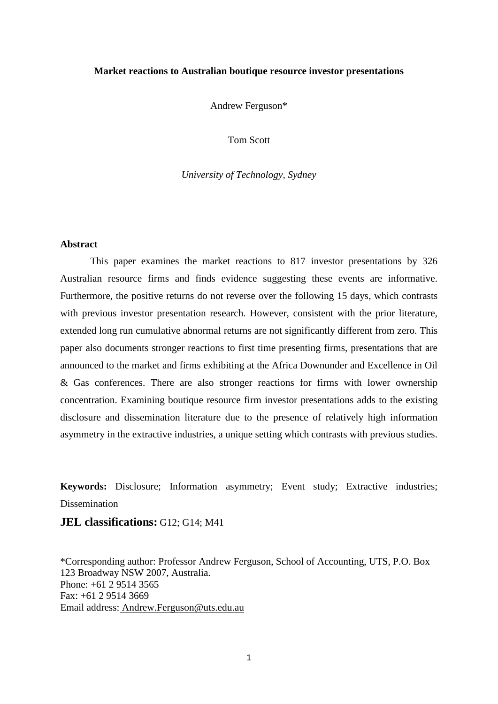#### **Market reactions to Australian boutique resource investor presentations**

Andrew Ferguson\*

Tom Scott

*University of Technology, Sydney*

#### **Abstract**

This paper examines the market reactions to 817 investor presentations by 326 Australian resource firms and finds evidence suggesting these events are informative. Furthermore, the positive returns do not reverse over the following 15 days, which contrasts with previous investor presentation research. However, consistent with the prior literature, extended long run cumulative abnormal returns are not significantly different from zero. This paper also documents stronger reactions to first time presenting firms, presentations that are announced to the market and firms exhibiting at the Africa Downunder and Excellence in Oil & Gas conferences. There are also stronger reactions for firms with lower ownership concentration. Examining boutique resource firm investor presentations adds to the existing disclosure and dissemination literature due to the presence of relatively high information asymmetry in the extractive industries, a unique setting which contrasts with previous studies.

**Keywords:** Disclosure; Information asymmetry; Event study; Extractive industries; Dissemination

## **JEL classifications:** G12; G14; M41

\*Corresponding author: Professor Andrew Ferguson, School of Accounting, UTS, P.O. Box 123 Broadway NSW 2007, Australia. Phone: +61 2 9514 3565 Fax: +61 2 9514 3669 Email address: Andrew.Ferguson@uts.edu.au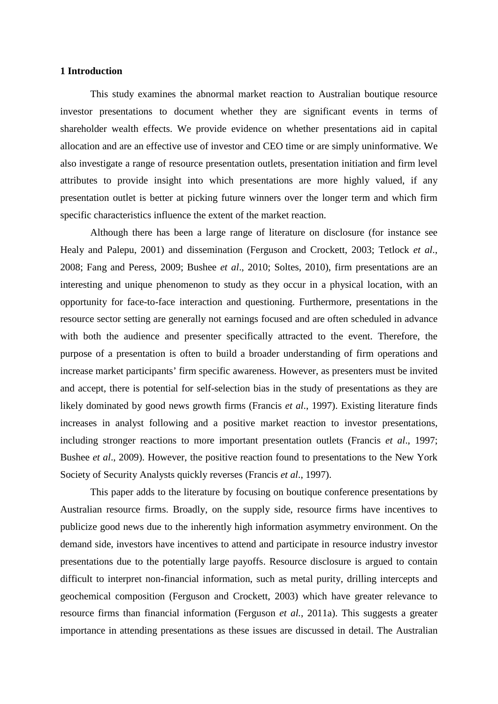## **1 Introduction**

This study examines the abnormal market reaction to Australian boutique resource investor presentations to document whether they are significant events in terms of shareholder wealth effects. We provide evidence on whether presentations aid in capital allocation and are an effective use of investor and CEO time or are simply uninformative. We also investigate a range of resource presentation outlets, presentation initiation and firm level attributes to provide insight into which presentations are more highly valued, if any presentation outlet is better at picking future winners over the longer term and which firm specific characteristics influence the extent of the market reaction.

Although there has been a large range of literature on disclosure (for instance see Healy and Palepu, 2001) and dissemination (Ferguson and Crockett, 2003; Tetlock *et al*., 2008; Fang and Peress, 2009; Bushee *et al*., 2010; Soltes, 2010), firm presentations are an interesting and unique phenomenon to study as they occur in a physical location, with an opportunity for face-to-face interaction and questioning. Furthermore, presentations in the resource sector setting are generally not earnings focused and are often scheduled in advance with both the audience and presenter specifically attracted to the event. Therefore, the purpose of a presentation is often to build a broader understanding of firm operations and increase market participants' firm specific awareness. However, as presenters must be invited and accept, there is potential for self-selection bias in the study of presentations as they are likely dominated by good news growth firms (Francis *et al*., 1997). Existing literature finds increases in analyst following and a positive market reaction to investor presentations, including stronger reactions to more important presentation outlets (Francis *et al*., 1997; Bushee *et al*., 2009). However, the positive reaction found to presentations to the New York Society of Security Analysts quickly reverses (Francis *et al*., 1997).

This paper adds to the literature by focusing on boutique conference presentations by Australian resource firms. Broadly, on the supply side, resource firms have incentives to publicize good news due to the inherently high information asymmetry environment. On the demand side, investors have incentives to attend and participate in resource industry investor presentations due to the potentially large payoffs. Resource disclosure is argued to contain difficult to interpret non-financial information, such as metal purity, drilling intercepts and geochemical composition (Ferguson and Crockett, 2003) which have greater relevance to resource firms than financial information (Ferguson *et al.*, 2011a). This suggests a greater importance in attending presentations as these issues are discussed in detail. The Australian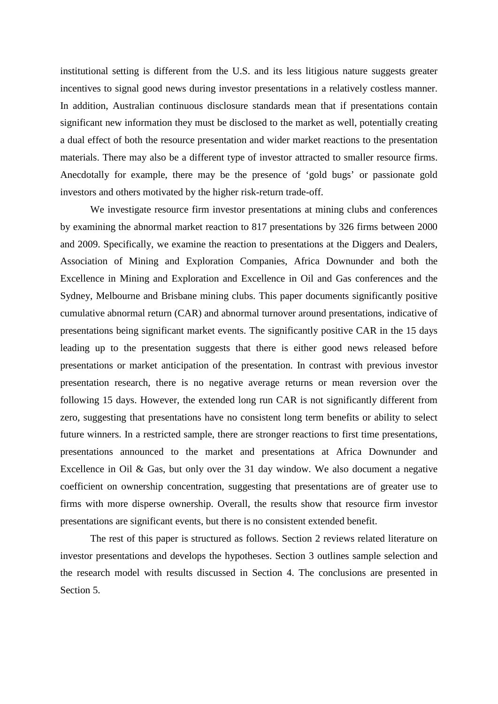institutional setting is different from the U.S. and its less litigious nature suggests greater incentives to signal good news during investor presentations in a relatively costless manner. In addition, Australian continuous disclosure standards mean that if presentations contain significant new information they must be disclosed to the market as well, potentially creating a dual effect of both the resource presentation and wider market reactions to the presentation materials. There may also be a different type of investor attracted to smaller resource firms. Anecdotally for example, there may be the presence of 'gold bugs' or passionate gold investors and others motivated by the higher risk-return trade-off.

We investigate resource firm investor presentations at mining clubs and conferences by examining the abnormal market reaction to 817 presentations by 326 firms between 2000 and 2009. Specifically, we examine the reaction to presentations at the Diggers and Dealers, Association of Mining and Exploration Companies, Africa Downunder and both the Excellence in Mining and Exploration and Excellence in Oil and Gas conferences and the Sydney, Melbourne and Brisbane mining clubs. This paper documents significantly positive cumulative abnormal return (CAR) and abnormal turnover around presentations, indicative of presentations being significant market events. The significantly positive CAR in the 15 days leading up to the presentation suggests that there is either good news released before presentations or market anticipation of the presentation. In contrast with previous investor presentation research, there is no negative average returns or mean reversion over the following 15 days. However, the extended long run CAR is not significantly different from zero, suggesting that presentations have no consistent long term benefits or ability to select future winners. In a restricted sample, there are stronger reactions to first time presentations, presentations announced to the market and presentations at Africa Downunder and Excellence in Oil & Gas, but only over the 31 day window. We also document a negative coefficient on ownership concentration, suggesting that presentations are of greater use to firms with more disperse ownership. Overall, the results show that resource firm investor presentations are significant events, but there is no consistent extended benefit.

The rest of this paper is structured as follows. Section 2 reviews related literature on investor presentations and develops the hypotheses. Section 3 outlines sample selection and the research model with results discussed in Section 4. The conclusions are presented in Section 5.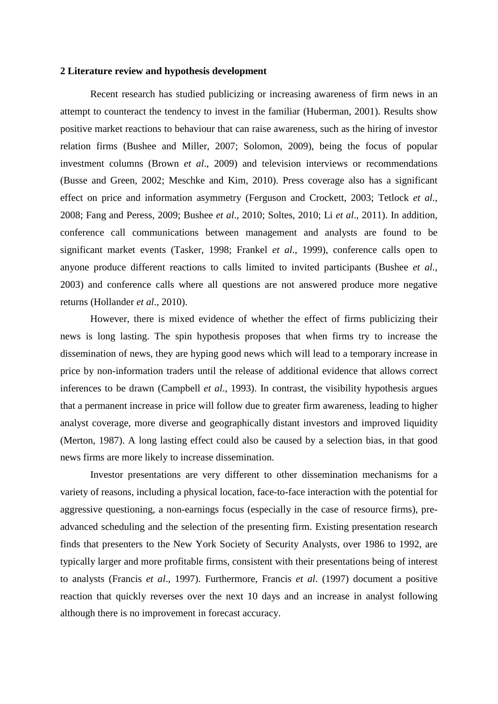## **2 Literature review and hypothesis development**

Recent research has studied publicizing or increasing awareness of firm news in an attempt to counteract the tendency to invest in the familiar (Huberman, 2001). Results show positive market reactions to behaviour that can raise awareness, such as the hiring of investor relation firms (Bushee and Miller, 2007; Solomon, 2009), being the focus of popular investment columns (Brown *et al*., 2009) and television interviews or recommendations (Busse and Green, 2002; Meschke and Kim, 2010). Press coverage also has a significant effect on price and information asymmetry (Ferguson and Crockett, 2003; Tetlock *et al*., 2008; Fang and Peress, 2009; Bushee *et al*., 2010; Soltes, 2010; Li *et al*., 2011). In addition, conference call communications between management and analysts are found to be significant market events (Tasker, 1998; Frankel *et al*., 1999), conference calls open to anyone produce different reactions to calls limited to invited participants (Bushee *et al*., 2003) and conference calls where all questions are not answered produce more negative returns (Hollander *et al*., 2010).

However, there is mixed evidence of whether the effect of firms publicizing their news is long lasting. The spin hypothesis proposes that when firms try to increase the dissemination of news, they are hyping good news which will lead to a temporary increase in price by non-information traders until the release of additional evidence that allows correct inferences to be drawn (Campbell *et al*., 1993). In contrast, the visibility hypothesis argues that a permanent increase in price will follow due to greater firm awareness, leading to higher analyst coverage, more diverse and geographically distant investors and improved liquidity (Merton, 1987). A long lasting effect could also be caused by a selection bias, in that good news firms are more likely to increase dissemination.

Investor presentations are very different to other dissemination mechanisms for a variety of reasons, including a physical location, face-to-face interaction with the potential for aggressive questioning, a non-earnings focus (especially in the case of resource firms), preadvanced scheduling and the selection of the presenting firm. Existing presentation research finds that presenters to the New York Society of Security Analysts, over 1986 to 1992, are typically larger and more profitable firms, consistent with their presentations being of interest to analysts (Francis *et al*., 1997). Furthermore, Francis *et al*. (1997) document a positive reaction that quickly reverses over the next 10 days and an increase in analyst following although there is no improvement in forecast accuracy.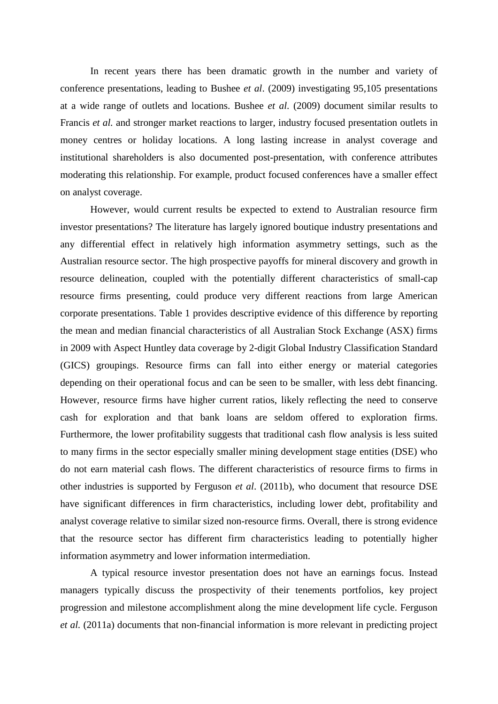In recent years there has been dramatic growth in the number and variety of conference presentations, leading to Bushee *et al*. (2009) investigating 95,105 presentations at a wide range of outlets and locations. Bushee *et al*. (2009) document similar results to Francis *et al.* and stronger market reactions to larger, industry focused presentation outlets in money centres or holiday locations. A long lasting increase in analyst coverage and institutional shareholders is also documented post-presentation, with conference attributes moderating this relationship. For example, product focused conferences have a smaller effect on analyst coverage.

However, would current results be expected to extend to Australian resource firm investor presentations? The literature has largely ignored boutique industry presentations and any differential effect in relatively high information asymmetry settings, such as the Australian resource sector. The high prospective payoffs for mineral discovery and growth in resource delineation, coupled with the potentially different characteristics of small-cap resource firms presenting, could produce very different reactions from large American corporate presentations. Table 1 provides descriptive evidence of this difference by reporting the mean and median financial characteristics of all Australian Stock Exchange (ASX) firms in 2009 with Aspect Huntley data coverage by 2-digit Global Industry Classification Standard (GICS) groupings. Resource firms can fall into either energy or material categories depending on their operational focus and can be seen to be smaller, with less debt financing. However, resource firms have higher current ratios, likely reflecting the need to conserve cash for exploration and that bank loans are seldom offered to exploration firms. Furthermore, the lower profitability suggests that traditional cash flow analysis is less suited to many firms in the sector especially smaller mining development stage entities (DSE) who do not earn material cash flows. The different characteristics of resource firms to firms in other industries is supported by Ferguson *et al*. (2011b), who document that resource DSE have significant differences in firm characteristics, including lower debt, profitability and analyst coverage relative to similar sized non-resource firms. Overall, there is strong evidence that the resource sector has different firm characteristics leading to potentially higher information asymmetry and lower information intermediation.

A typical resource investor presentation does not have an earnings focus. Instead managers typically discuss the prospectivity of their tenements portfolios, key project progression and milestone accomplishment along the mine development life cycle. Ferguson *et al.* (2011a) documents that non-financial information is more relevant in predicting project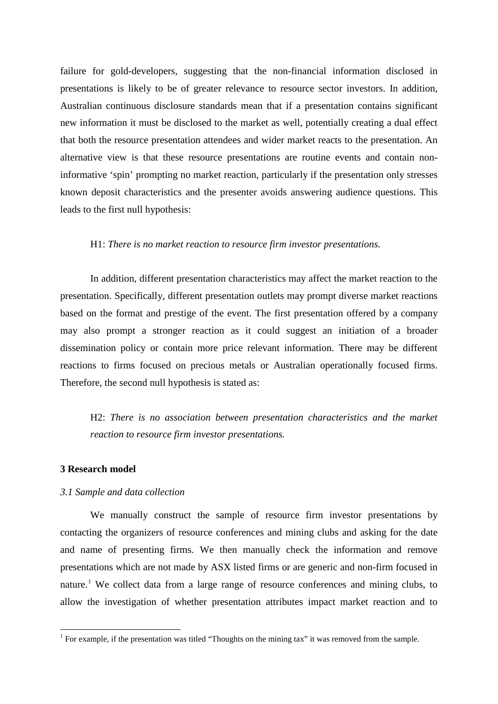failure for gold-developers, suggesting that the non-financial information disclosed in presentations is likely to be of greater relevance to resource sector investors. In addition, Australian continuous disclosure standards mean that if a presentation contains significant new information it must be disclosed to the market as well, potentially creating a dual effect that both the resource presentation attendees and wider market reacts to the presentation. An alternative view is that these resource presentations are routine events and contain noninformative 'spin' prompting no market reaction, particularly if the presentation only stresses known deposit characteristics and the presenter avoids answering audience questions. This leads to the first null hypothesis:

### H1: *There is no market reaction to resource firm investor presentations.*

In addition, different presentation characteristics may affect the market reaction to the presentation. Specifically, different presentation outlets may prompt diverse market reactions based on the format and prestige of the event. The first presentation offered by a company may also prompt a stronger reaction as it could suggest an initiation of a broader dissemination policy or contain more price relevant information. There may be different reactions to firms focused on precious metals or Australian operationally focused firms. Therefore, the second null hypothesis is stated as:

H2: *There is no association between presentation characteristics and the market reaction to resource firm investor presentations.*

#### **3 Research model**

#### *3.1 Sample and data collection*

We manually construct the sample of resource firm investor presentations by contacting the organizers of resource conferences and mining clubs and asking for the date and name of presenting firms. We then manually check the information and remove presentations which are not made by ASX listed firms or are generic and non-firm focused in nature.<sup>[1](#page-5-0)</sup> We collect data from a large range of resource conferences and mining clubs, to allow the investigation of whether presentation attributes impact market reaction and to

<span id="page-5-0"></span><sup>&</sup>lt;sup>1</sup> For example, if the presentation was titled "Thoughts on the mining tax" it was removed from the sample.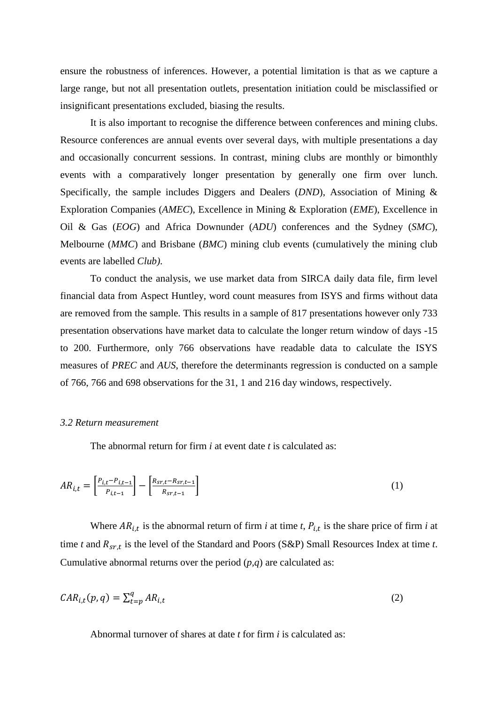ensure the robustness of inferences. However, a potential limitation is that as we capture a large range, but not all presentation outlets, presentation initiation could be misclassified or insignificant presentations excluded, biasing the results.

It is also important to recognise the difference between conferences and mining clubs. Resource conferences are annual events over several days, with multiple presentations a day and occasionally concurrent sessions. In contrast, mining clubs are monthly or bimonthly events with a comparatively longer presentation by generally one firm over lunch. Specifically, the sample includes Diggers and Dealers (*DND*), Association of Mining & Exploration Companies (*AMEC*), Excellence in Mining & Exploration (*EME*), Excellence in Oil & Gas (*EOG*) and Africa Downunder (*ADU*) conferences and the Sydney (*SMC*), Melbourne (*MMC*) and Brisbane (*BMC*) mining club events (cumulatively the mining club events are labelled *Club)*.

To conduct the analysis, we use market data from SIRCA daily data file, firm level financial data from Aspect Huntley, word count measures from ISYS and firms without data are removed from the sample. This results in a sample of 817 presentations however only 733 presentation observations have market data to calculate the longer return window of days -15 to 200. Furthermore, only 766 observations have readable data to calculate the ISYS measures of *PREC* and *AUS*, therefore the determinants regression is conducted on a sample of 766, 766 and 698 observations for the 31, 1 and 216 day windows, respectively.

### *3.2 Return measurement*

The abnormal return for firm *i* at event date *t* is calculated as:

$$
AR_{i,t} = \left[\frac{P_{i,t} - P_{i,t-1}}{P_{i,t-1}}\right] - \left[\frac{R_{sr,t} - R_{sr,t-1}}{R_{sr,t-1}}\right]
$$
\n(1)

Where  $AR_{i,t}$  is the abnormal return of firm *i* at time *t*,  $P_{i,t}$  is the share price of firm *i* at time *t* and  $R_{sr,t}$  is the level of the Standard and Poors (S&P) Small Resources Index at time *t*. Cumulative abnormal returns over the period (*p,q*) are calculated as:

$$
CAR_{i,t}(p,q) = \sum_{t=p}^{q} AR_{i,t}
$$
\n<sup>(2)</sup>

Abnormal turnover of shares at date *t* for firm *i* is calculated as: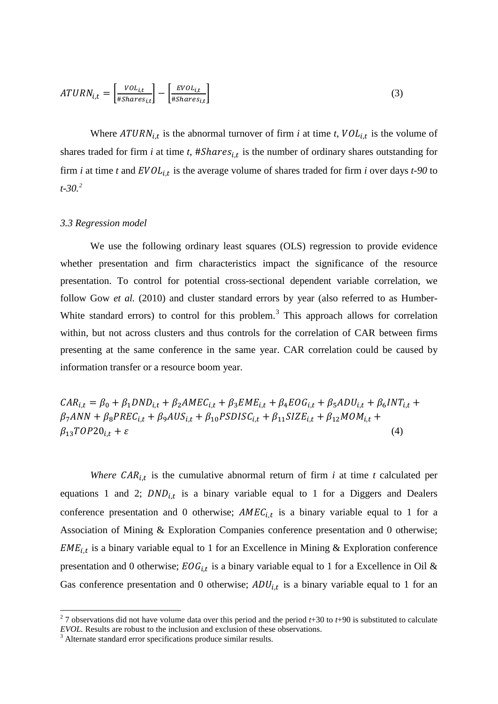$$
ATURN_{i,t} = \left[\frac{Vol_{i,t}}{\# shares_{i,t}}\right] - \left[\frac{EVOL_{i,t}}{\# shares_{i,t}}\right]
$$
\n
$$
(3)
$$

Where  $ATURN_{i,t}$  is the abnormal turnover of firm *i* at time *t*,  $VOL_{i,t}$  is the volume of shares traded for firm *i* at time *t*,  $#Shares_{i,t}$  is the number of ordinary shares outstanding for firm *i* at time *t* and  $EVOL_{i,t}$  is the average volume of shares traded for firm *i* over days *t*-90 to *t-30.[2](#page-7-0)*

#### *3.3 Regression model*

We use the following ordinary least squares (OLS) regression to provide evidence whether presentation and firm characteristics impact the significance of the resource presentation. To control for potential cross-sectional dependent variable correlation, we follow Gow *et al.* (2010) and cluster standard errors by year (also referred to as Humber-White standard errors) to control for this problem.<sup>[3](#page-7-1)</sup> This approach allows for correlation within, but not across clusters and thus controls for the correlation of CAR between firms presenting at the same conference in the same year. CAR correlation could be caused by information transfer or a resource boom year.

 $CAR_{i,t} = \beta_0 + \beta_1 DND_{i,t} + \beta_2 AMEC_{i,t} + \beta_3 EME_{i,t} + \beta_4 EOG_{i,t} + \beta_5 ADU_{i,t} + \beta_6 INT_{i,t} +$  $\beta_7 ANN + \beta_8 PREC_{i,t} + \beta_9 AUS_{i,t} + \beta_{10} PSDISC_{i,t} + \beta_{11} SIZE_{i,t} + \beta_{12} MOM_{i,t} +$  $\beta_{13} \text{TOP20}_{i,t} + \varepsilon$  (4)

*Where*  $CAR_{i,t}$  is the cumulative abnormal return of firm *i* at time *t* calculated per equations 1 and 2;  $DND_{i,t}$  is a binary variable equal to 1 for a Diggers and Dealers conference presentation and 0 otherwise;  $AMEC_{i,t}$  is a binary variable equal to 1 for a Association of Mining & Exploration Companies conference presentation and 0 otherwise;  $EME_{i,t}$  is a binary variable equal to 1 for an Excellence in Mining & Exploration conference presentation and 0 otherwise;  $EOG_{i,t}$  is a binary variable equal to 1 for a Excellence in Oil & Gas conference presentation and 0 otherwise;  $ADU_{i,t}$  is a binary variable equal to 1 for an

<span id="page-7-0"></span><sup>&</sup>lt;sup>2</sup> 7 observations did not have volume data over this period and the period  $t+30$  to  $t+90$  is substituted to calculate *EVOL.* Results are robust to the inclusion and exclusion of these observations. <sup>3</sup> Alternate standard error specifications produce similar results.

<span id="page-7-1"></span>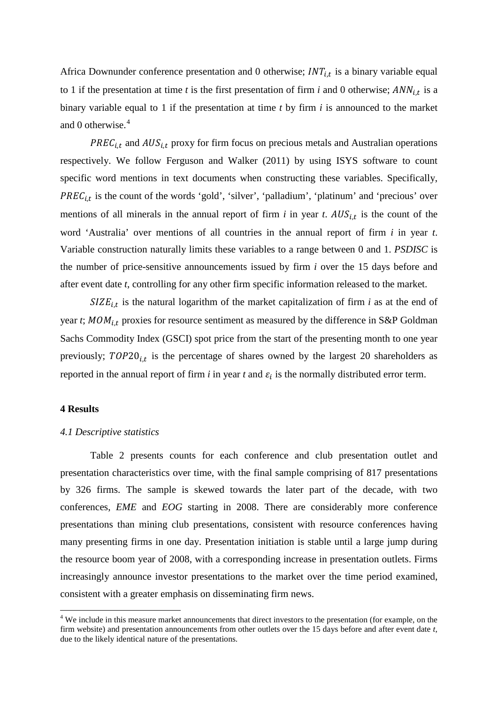Africa Downunder conference presentation and 0 otherwise;  $INT_{i,t}$  is a binary variable equal to 1 if the presentation at time *t* is the first presentation of firm *i* and 0 otherwise;  $ANN_{i,t}$  is a binary variable equal to 1 if the presentation at time *t* by firm *i* is announced to the market and 0 otherwise. [4](#page-8-0)

 $PREC_{i,t}$  and  $AUS_{i,t}$  proxy for firm focus on precious metals and Australian operations respectively. We follow Ferguson and Walker (2011) by using ISYS software to count specific word mentions in text documents when constructing these variables. Specifically,  $PREC_{i,t}$  is the count of the words 'gold', 'silver', 'palladium', 'platinum' and 'precious' over mentions of all minerals in the annual report of firm  $i$  in year  $t$ .  $AUS_{i,t}$  is the count of the word 'Australia' over mentions of all countries in the annual report of firm *i* in year *t*. Variable construction naturally limits these variables to a range between 0 and 1. *PSDISC* is the number of price-sensitive announcements issued by firm *i* over the 15 days before and after event date *t*, controlling for any other firm specific information released to the market.

 $SIZE_{i,t}$  is the natural logarithm of the market capitalization of firm *i* as at the end of year *t*;  $MOM_{i,t}$  proxies for resource sentiment as measured by the difference in S&P Goldman Sachs Commodity Index (GSCI) spot price from the start of the presenting month to one year previously;  $TOP20_{i,t}$  is the percentage of shares owned by the largest 20 shareholders as reported in the annual report of firm  $i$  in year  $t$  and  $\varepsilon$ <sub>i</sub> is the normally distributed error term.

## **4 Results**

#### *4.1 Descriptive statistics*

Table 2 presents counts for each conference and club presentation outlet and presentation characteristics over time, with the final sample comprising of 817 presentations by 326 firms. The sample is skewed towards the later part of the decade, with two conferences, *EME* and *EOG* starting in 2008. There are considerably more conference presentations than mining club presentations, consistent with resource conferences having many presenting firms in one day. Presentation initiation is stable until a large jump during the resource boom year of 2008, with a corresponding increase in presentation outlets. Firms increasingly announce investor presentations to the market over the time period examined, consistent with a greater emphasis on disseminating firm news.

<span id="page-8-0"></span><sup>&</sup>lt;sup>4</sup> We include in this measure market announcements that direct investors to the presentation (for example, on the firm website) and presentation announcements from other outlets over the 15 days before and after event date *t*, due to the likely identical nature of the presentations.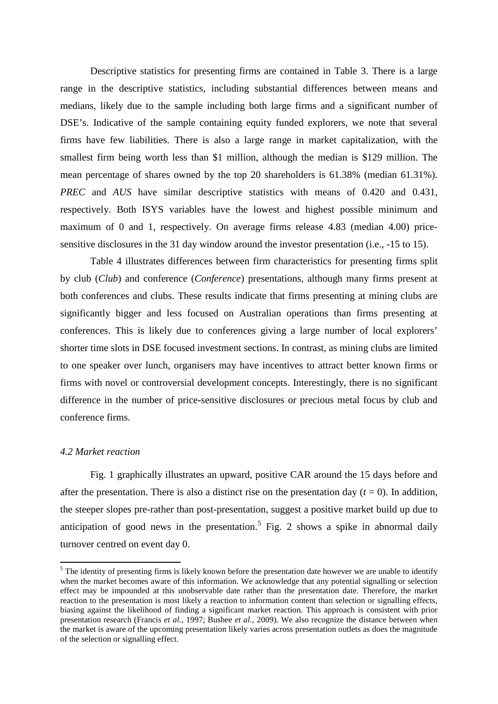Descriptive statistics for presenting firms are contained in Table 3. There is a large range in the descriptive statistics, including substantial differences between means and medians, likely due to the sample including both large firms and a significant number of DSE's. Indicative of the sample containing equity funded explorers, we note that several firms have few liabilities. There is also a large range in market capitalization, with the smallest firm being worth less than \$1 million, although the median is \$129 million. The mean percentage of shares owned by the top 20 shareholders is 61.38% (median 61.31%). *PREC* and *AUS* have similar descriptive statistics with means of 0.420 and 0.431, respectively. Both ISYS variables have the lowest and highest possible minimum and maximum of 0 and 1, respectively. On average firms release 4.83 (median 4.00) pricesensitive disclosures in the 31 day window around the investor presentation (i.e., -15 to 15).

Table 4 illustrates differences between firm characteristics for presenting firms split by club (*Club*) and conference (*Conference*) presentations, although many firms present at both conferences and clubs. These results indicate that firms presenting at mining clubs are significantly bigger and less focused on Australian operations than firms presenting at conferences. This is likely due to conferences giving a large number of local explorers' shorter time slots in DSE focused investment sections. In contrast, as mining clubs are limited to one speaker over lunch, organisers may have incentives to attract better known firms or firms with novel or controversial development concepts. Interestingly, there is no significant difference in the number of price-sensitive disclosures or precious metal focus by club and conference firms.

### *4.2 Market reaction*

Fig. 1 graphically illustrates an upward, positive CAR around the 15 days before and after the presentation. There is also a distinct rise on the presentation day  $(t = 0)$ . In addition, the steeper slopes pre-rather than post-presentation, suggest a positive market build up due to anticipation of good news in the presentation.<sup>[5](#page-9-0)</sup> Fig. 2 shows a spike in abnormal daily turnover centred on event day 0.

<span id="page-9-0"></span> $<sup>5</sup>$  The identity of presenting firms is likely known before the presentation date however we are unable to identify</sup> when the market becomes aware of this information. We acknowledge that any potential signalling or selection effect may be impounded at this unobservable date rather than the presentation date. Therefore, the market reaction to the presentation is most likely a reaction to information content than selection or signalling effects, biasing against the likelihood of finding a significant market reaction. This approach is consistent with prior presentation research (Francis *et al.*, 1997; Bushee *et al.*, 2009). We also recognize the distance between when the market is aware of the upcoming presentation likely varies across presentation outlets as does the magnitude of the selection or signalling effect.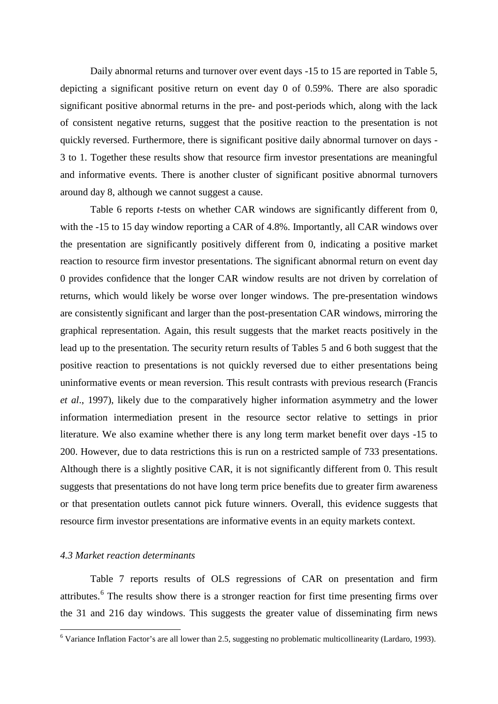Daily abnormal returns and turnover over event days -15 to 15 are reported in Table 5, depicting a significant positive return on event day 0 of 0.59%. There are also sporadic significant positive abnormal returns in the pre- and post-periods which, along with the lack of consistent negative returns, suggest that the positive reaction to the presentation is not quickly reversed. Furthermore, there is significant positive daily abnormal turnover on days - 3 to 1. Together these results show that resource firm investor presentations are meaningful and informative events. There is another cluster of significant positive abnormal turnovers around day 8, although we cannot suggest a cause.

Table 6 reports *t*-tests on whether CAR windows are significantly different from 0, with the -15 to 15 day window reporting a CAR of 4.8%. Importantly, all CAR windows over the presentation are significantly positively different from 0, indicating a positive market reaction to resource firm investor presentations. The significant abnormal return on event day 0 provides confidence that the longer CAR window results are not driven by correlation of returns, which would likely be worse over longer windows. The pre-presentation windows are consistently significant and larger than the post-presentation CAR windows, mirroring the graphical representation. Again, this result suggests that the market reacts positively in the lead up to the presentation. The security return results of Tables 5 and 6 both suggest that the positive reaction to presentations is not quickly reversed due to either presentations being uninformative events or mean reversion. This result contrasts with previous research (Francis *et al*., 1997), likely due to the comparatively higher information asymmetry and the lower information intermediation present in the resource sector relative to settings in prior literature. We also examine whether there is any long term market benefit over days -15 to 200. However, due to data restrictions this is run on a restricted sample of 733 presentations. Although there is a slightly positive CAR, it is not significantly different from 0. This result suggests that presentations do not have long term price benefits due to greater firm awareness or that presentation outlets cannot pick future winners. Overall, this evidence suggests that resource firm investor presentations are informative events in an equity markets context.

#### *4.3 Market reaction determinants*

Table 7 reports results of OLS regressions of CAR on presentation and firm attributes.<sup>[6](#page-10-0)</sup> The results show there is a stronger reaction for first time presenting firms over the 31 and 216 day windows. This suggests the greater value of disseminating firm news

<span id="page-10-0"></span><sup>&</sup>lt;sup>6</sup> Variance Inflation Factor's are all lower than 2.5, suggesting no problematic multicollinearity (Lardaro, 1993).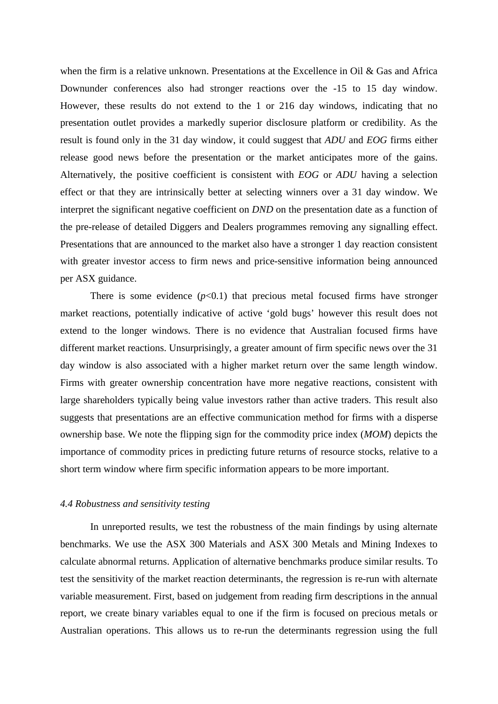when the firm is a relative unknown. Presentations at the Excellence in Oil & Gas and Africa Downunder conferences also had stronger reactions over the -15 to 15 day window. However, these results do not extend to the 1 or 216 day windows, indicating that no presentation outlet provides a markedly superior disclosure platform or credibility. As the result is found only in the 31 day window, it could suggest that *ADU* and *EOG* firms either release good news before the presentation or the market anticipates more of the gains. Alternatively, the positive coefficient is consistent with *EOG* or *ADU* having a selection effect or that they are intrinsically better at selecting winners over a 31 day window. We interpret the significant negative coefficient on *DND* on the presentation date as a function of the pre-release of detailed Diggers and Dealers programmes removing any signalling effect. Presentations that are announced to the market also have a stronger 1 day reaction consistent with greater investor access to firm news and price-sensitive information being announced per ASX guidance.

There is some evidence  $(p<0.1)$  that precious metal focused firms have stronger market reactions, potentially indicative of active 'gold bugs' however this result does not extend to the longer windows. There is no evidence that Australian focused firms have different market reactions. Unsurprisingly, a greater amount of firm specific news over the 31 day window is also associated with a higher market return over the same length window. Firms with greater ownership concentration have more negative reactions, consistent with large shareholders typically being value investors rather than active traders. This result also suggests that presentations are an effective communication method for firms with a disperse ownership base. We note the flipping sign for the commodity price index (*MOM*) depicts the importance of commodity prices in predicting future returns of resource stocks, relative to a short term window where firm specific information appears to be more important.

#### *4.4 Robustness and sensitivity testing*

In unreported results, we test the robustness of the main findings by using alternate benchmarks. We use the ASX 300 Materials and ASX 300 Metals and Mining Indexes to calculate abnormal returns. Application of alternative benchmarks produce similar results. To test the sensitivity of the market reaction determinants, the regression is re-run with alternate variable measurement. First, based on judgement from reading firm descriptions in the annual report, we create binary variables equal to one if the firm is focused on precious metals or Australian operations. This allows us to re-run the determinants regression using the full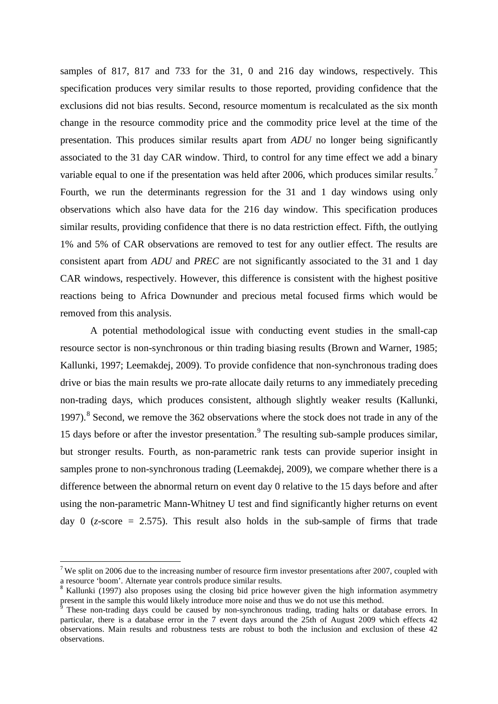samples of 817, 817 and 733 for the 31, 0 and 216 day windows, respectively. This specification produces very similar results to those reported, providing confidence that the exclusions did not bias results. Second, resource momentum is recalculated as the six month change in the resource commodity price and the commodity price level at the time of the presentation. This produces similar results apart from *ADU* no longer being significantly associated to the 31 day CAR window. Third, to control for any time effect we add a binary variable equal to one if the presentation was held after 2006, which produces similar results.<sup>[7](#page-12-0)</sup> Fourth, we run the determinants regression for the 31 and 1 day windows using only observations which also have data for the 216 day window. This specification produces similar results, providing confidence that there is no data restriction effect. Fifth, the outlying 1% and 5% of CAR observations are removed to test for any outlier effect. The results are consistent apart from *ADU* and *PREC* are not significantly associated to the 31 and 1 day CAR windows, respectively. However, this difference is consistent with the highest positive reactions being to Africa Downunder and precious metal focused firms which would be removed from this analysis.

A potential methodological issue with conducting event studies in the small-cap resource sector is non-synchronous or thin trading biasing results (Brown and Warner, 1985; Kallunki, 1997; Leemakdej, 2009). To provide confidence that non-synchronous trading does drive or bias the main results we pro-rate allocate daily returns to any immediately preceding non-trading days, which produces consistent, although slightly weaker results (Kallunki, 1997).<sup>[8](#page-12-1)</sup> Second, we remove the 362 observations where the stock does not trade in any of the 15 days before or after the investor presentation. [9](#page-12-2) The resulting sub-sample produces similar, but stronger results. Fourth, as non-parametric rank tests can provide superior insight in samples prone to non-synchronous trading (Leemakdej, 2009), we compare whether there is a difference between the abnormal return on event day 0 relative to the 15 days before and after using the non-parametric Mann-Whitney U test and find significantly higher returns on event day 0 ( $z$ -score = 2.575). This result also holds in the sub-sample of firms that trade

<span id="page-12-0"></span><sup>&</sup>lt;sup>7</sup> We split on 2006 due to the increasing number of resource firm investor presentations after 2007, coupled with a resource 'boom'. Alternate year controls produce similar results.

<span id="page-12-1"></span> $8$  Kallunki (1997) also proposes using the closing bid price however given the high information asymmetry present in the sample this would likely introduce more noise and thus we do not use this method.

<span id="page-12-2"></span>These non-trading days could be caused by non-synchronous trading, trading halts or database errors. In particular, there is a database error in the 7 event days around the 25th of August 2009 which effects 42 observations. Main results and robustness tests are robust to both the inclusion and exclusion of these 42 observations.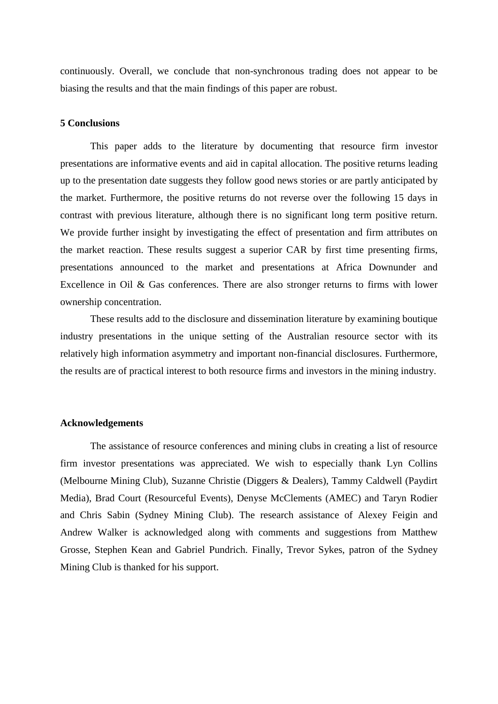continuously. Overall, we conclude that non-synchronous trading does not appear to be biasing the results and that the main findings of this paper are robust.

## **5 Conclusions**

This paper adds to the literature by documenting that resource firm investor presentations are informative events and aid in capital allocation. The positive returns leading up to the presentation date suggests they follow good news stories or are partly anticipated by the market. Furthermore, the positive returns do not reverse over the following 15 days in contrast with previous literature, although there is no significant long term positive return. We provide further insight by investigating the effect of presentation and firm attributes on the market reaction. These results suggest a superior CAR by first time presenting firms, presentations announced to the market and presentations at Africa Downunder and Excellence in Oil & Gas conferences. There are also stronger returns to firms with lower ownership concentration.

These results add to the disclosure and dissemination literature by examining boutique industry presentations in the unique setting of the Australian resource sector with its relatively high information asymmetry and important non-financial disclosures. Furthermore, the results are of practical interest to both resource firms and investors in the mining industry.

### **Acknowledgements**

The assistance of resource conferences and mining clubs in creating a list of resource firm investor presentations was appreciated. We wish to especially thank Lyn Collins (Melbourne Mining Club), Suzanne Christie (Diggers & Dealers), Tammy Caldwell (Paydirt Media), Brad Court (Resourceful Events), Denyse McClements (AMEC) and Taryn Rodier and Chris Sabin (Sydney Mining Club). The research assistance of Alexey Feigin and Andrew Walker is acknowledged along with comments and suggestions from Matthew Grosse, Stephen Kean and Gabriel Pundrich. Finally, Trevor Sykes, patron of the Sydney Mining Club is thanked for his support.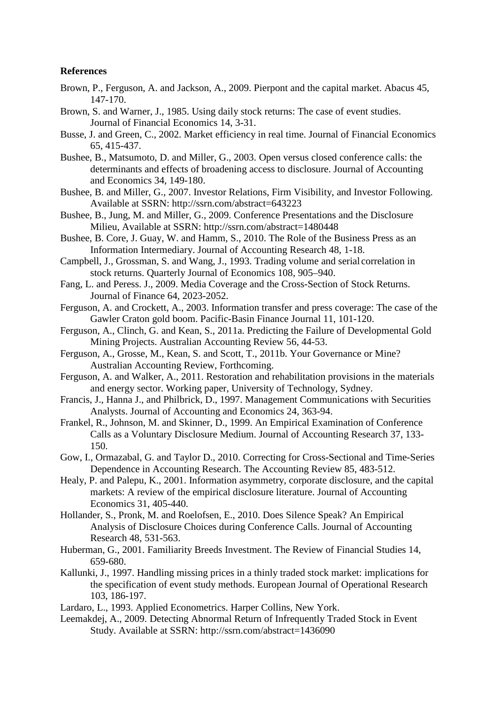## **References**

- Brown, P., Ferguson, A. and Jackson, A., 2009. Pierpont and the capital market. Abacus 45, 147-170.
- Brown, S. and Warner, J., 1985. Using daily stock returns: The case of event studies. Journal of Financial Economics 14, 3-31.
- Busse, J. and Green, C., 2002. Market efficiency in real time. Journal of Financial Economics 65, 415-437.
- Bushee, B., Matsumoto, D. and Miller, G., 2003. Open versus closed conference calls: the determinants and effects of broadening access to disclosure. Journal of Accounting and Economics 34, 149-180.
- Bushee, B. and Miller, G., 2007. Investor Relations, Firm Visibility, and Investor Following. Available at SSRN: http://ssrn.com/abstract=643223
- Bushee, B., Jung, M. and Miller, G., 2009. Conference Presentations and the Disclosure Milieu, Available at SSRN: http://ssrn.com/abstract=1480448
- Bushee, B. Core, J. Guay, W. and Hamm, S., 2010. The Role of the Business Press as an Information Intermediary. Journal of Accounting Research 48, 1-18.
- Campbell, J., Grossman, S. and Wang, J., 1993. Trading volume and serial correlation in stock returns. Quarterly Journal of Economics 108, 905–940.
- Fang, L. and Peress. J., 2009. Media Coverage and the Cross-Section of Stock Returns. Journal of Finance 64, 2023-2052.
- Ferguson, A. and Crockett, A., 2003. Information transfer and press coverage: The case of the Gawler Craton gold boom. Pacific-Basin Finance Journal 11, 101-120.
- Ferguson, A., Clinch, G. and Kean, S., 2011a. Predicting the Failure of Developmental Gold Mining Projects. Australian Accounting Review 56, 44-53.
- Ferguson, A., Grosse, M., Kean, S. and Scott, T., 2011b. Your Governance or Mine? Australian Accounting Review, Forthcoming.
- Ferguson, A. and Walker, A., 2011. Restoration and rehabilitation provisions in the materials and energy sector. Working paper, University of Technology, Sydney.
- Francis, J., Hanna J., and Philbrick, D., 1997. Management Communications with Securities Analysts. Journal of Accounting and Economics 24, 363-94.
- Frankel, R., Johnson, M. and Skinner, D., 1999. An Empirical Examination of Conference Calls as a Voluntary Disclosure Medium. Journal of Accounting Research 37, 133- 150.
- Gow, I., Ormazabal, G. and Taylor D., 2010. Correcting for Cross-Sectional and Time-Series Dependence in Accounting Research. The Accounting Review 85, 483-512.
- Healy, P. and Palepu, K., 2001. Information asymmetry, corporate disclosure, and the capital markets: A review of the empirical disclosure literature. Journal of Accounting Economics 31, 405-440.
- Hollander, S., Pronk, M. and Roelofsen, E., 2010. Does Silence Speak? An Empirical Analysis of Disclosure Choices during Conference Calls. Journal of Accounting Research 48, 531-563.
- Huberman, G., 2001. Familiarity Breeds Investment. The Review of Financial Studies 14, 659-680.
- Kallunki, J., 1997. Handling missing prices in a thinly traded stock market: implications for the specification of event study methods. European Journal of Operational Research 103, 186-197.
- Lardaro, L., 1993. Applied Econometrics. Harper Collins, New York.
- Leemakdej, A., 2009. Detecting Abnormal Return of Infrequently Traded Stock in Event Study. Available at SSRN: http://ssrn.com/abstract=1436090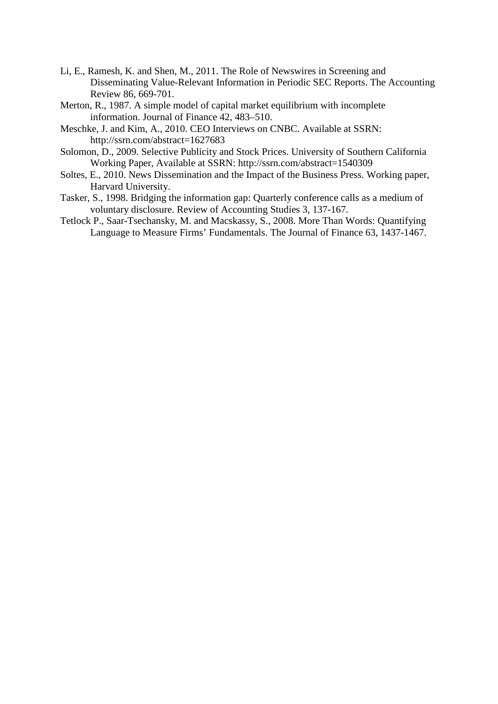- Li, E., Ramesh, K. and Shen, M., 2011. The Role of Newswires in Screening and Disseminating Value-Relevant Information in Periodic SEC Reports. The Accounting Review 86, 669-701.
- Merton, R., 1987. A simple model of capital market equilibrium with incomplete information. Journal of Finance 42, 483–510.
- Meschke, J. and Kim, A., 2010. CEO Interviews on CNBC. Available at SSRN: http://ssrn.com/abstract=1627683
- Solomon, D., 2009. Selective Publicity and Stock Prices. University of Southern California Working Paper, Available at SSRN: http://ssrn.com/abstract=1540309
- Soltes, E., 2010. News Dissemination and the Impact of the Business Press. Working paper, Harvard University.
- Tasker, S., 1998. Bridging the information gap: Quarterly conference calls as a medium of voluntary disclosure. Review of Accounting Studies 3, 137-167.
- Tetlock P., Saar-Tsechansky, M. and Macskassy, S., 2008. More Than Words: Quantifying Language to Measure Firms' Fundamentals. The Journal of Finance 63, 1437-1467.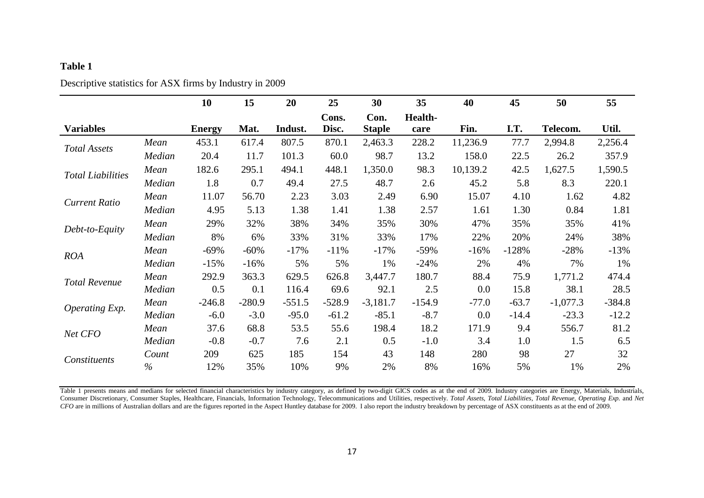## Descriptive statistics for ASX firms by Industry in 2009

|                          |        | 10            | 15       | 20       | 25             | 30                    | 35              | 40       | 45      | 50         | 55       |
|--------------------------|--------|---------------|----------|----------|----------------|-----------------------|-----------------|----------|---------|------------|----------|
| <b>Variables</b>         |        | <b>Energy</b> | Mat.     | Indust.  | Cons.<br>Disc. | Con.<br><b>Staple</b> | Health-<br>care | Fin.     | I.T.    | Telecom.   | Util.    |
| <b>Total Assets</b>      | Mean   | 453.1         | 617.4    | 807.5    | 870.1          | 2,463.3               | 228.2           | 11,236.9 | 77.7    | 2,994.8    | 2,256.4  |
|                          | Median | 20.4          | 11.7     | 101.3    | 60.0           | 98.7                  | 13.2            | 158.0    | 22.5    | 26.2       | 357.9    |
| <b>Total Liabilities</b> | Mean   | 182.6         | 295.1    | 494.1    | 448.1          | 1,350.0               | 98.3            | 10,139.2 | 42.5    | 1,627.5    | 1,590.5  |
|                          | Median | 1.8           | 0.7      | 49.4     | 27.5           | 48.7                  | 2.6             | 45.2     | 5.8     | 8.3        | 220.1    |
| <b>Current Ratio</b>     | Mean   | 11.07         | 56.70    | 2.23     | 3.03           | 2.49                  | 6.90            | 15.07    | 4.10    | 1.62       | 4.82     |
|                          | Median | 4.95          | 5.13     | 1.38     | 1.41           | 1.38                  | 2.57            | 1.61     | 1.30    | 0.84       | 1.81     |
|                          | Mean   | 29%           | 32%      | 38%      | 34%            | 35%                   | 30%             | 47%      | 35%     | 35%        | 41%      |
| Debt-to-Equity           | Median | 8%            | 6%       | 33%      | 31%            | 33%                   | 17%             | 22%      | 20%     | 24%        | 38%      |
| <b>ROA</b>               | Mean   | $-69%$        | $-60%$   | $-17%$   | $-11%$         | $-17%$                | $-59%$          | $-16%$   | $-128%$ | $-28%$     | $-13%$   |
|                          | Median | $-15%$        | $-16%$   | 5%       | 5%             | 1%                    | $-24%$          | 2%       | 4%      | 7%         | 1%       |
| <b>Total Revenue</b>     | Mean   | 292.9         | 363.3    | 629.5    | 626.8          | 3,447.7               | 180.7           | 88.4     | 75.9    | 1,771.2    | 474.4    |
|                          | Median | 0.5           | 0.1      | 116.4    | 69.6           | 92.1                  | 2.5             | 0.0      | 15.8    | 38.1       | 28.5     |
| Operating Exp.           | Mean   | $-246.8$      | $-280.9$ | $-551.5$ | $-528.9$       | $-3,181.7$            | $-154.9$        | $-77.0$  | $-63.7$ | $-1,077.3$ | $-384.8$ |
|                          | Median | $-6.0$        | $-3.0$   | $-95.0$  | $-61.2$        | $-85.1$               | $-8.7$          | 0.0      | $-14.4$ | $-23.3$    | $-12.2$  |
| Net CFO                  | Mean   | 37.6          | 68.8     | 53.5     | 55.6           | 198.4                 | 18.2            | 171.9    | 9.4     | 556.7      | 81.2     |
|                          | Median | $-0.8$        | $-0.7$   | 7.6      | 2.1            | 0.5                   | $-1.0$          | 3.4      | 1.0     | 1.5        | 6.5      |
| Constituents             | Count  | 209           | 625      | 185      | 154            | 43                    | 148             | 280      | 98      | 27         | 32       |
|                          | $\%$   | 12%           | 35%      | 10%      | 9%             | 2%                    | 8%              | 16%      | 5%      | 1%         | 2%       |

Table 1 presents means and medians for selected financial characteristics by industry category, as defined by two-digit GICS codes as at the end of 2009. Industry categories are Energy, Materials, Industrials, Consumer Discretionary, Consumer Staples, Healthcare, Financials, Information Technology, Telecommunications and Utilities, respectively. Total Assets, Total Liabilities, Total Revenue, Operating Exp. and Net *CFO* are in millions of Australian dollars and are the figures reported in the Aspect Huntley database for 2009. I also report the industry breakdown by percentage of ASX constituents as at the end of 2009.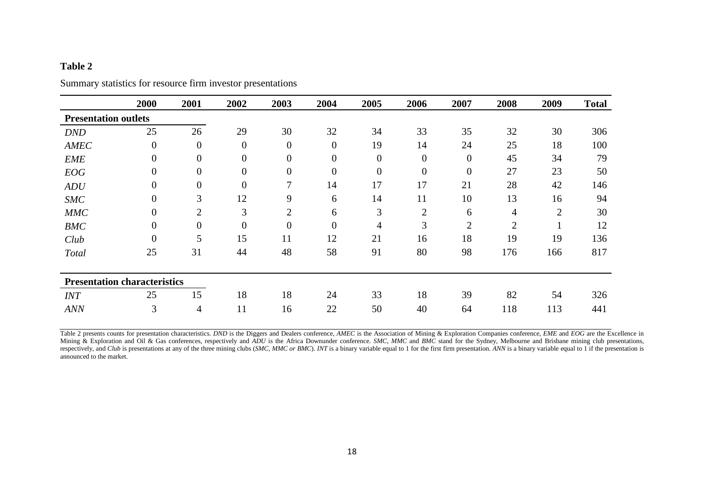|                                     | 2000             | 2001             | 2002           | 2003           | 2004           | 2005             | 2006           | 2007           | 2008           | 2009           | <b>Total</b> |
|-------------------------------------|------------------|------------------|----------------|----------------|----------------|------------------|----------------|----------------|----------------|----------------|--------------|
| <b>Presentation outlets</b>         |                  |                  |                |                |                |                  |                |                |                |                |              |
| <b>DND</b>                          | 25               | 26               | 29             | 30             | 32             | 34               | 33             | 35             | 32             | 30             | 306          |
| AMEC                                | $\boldsymbol{0}$ | $\boldsymbol{0}$ | $\overline{0}$ | $\overline{0}$ | $\overline{0}$ | 19               | 14             | 24             | 25             | 18             | 100          |
| <b>EME</b>                          | $\mathbf{0}$     | $\boldsymbol{0}$ | $\overline{0}$ | $\overline{0}$ | $\overline{0}$ | $\overline{0}$   | $\overline{0}$ | $\overline{0}$ | 45             | 34             | 79           |
| EOG                                 | $\boldsymbol{0}$ | $\mathbf{0}$     | $\overline{0}$ | $\theta$       | $\overline{0}$ | $\boldsymbol{0}$ | $\overline{0}$ | $\overline{0}$ | 27             | 23             | 50           |
| ADU                                 | $\mathbf{0}$     | $\overline{0}$   | $\theta$       | 7              | 14             | 17               | 17             | 21             | 28             | 42             | 146          |
| <b>SMC</b>                          | $\mathbf{0}$     | 3                | 12             | 9              | 6              | 14               | 11             | 10             | 13             | 16             | 94           |
| <b>MMC</b>                          | $\boldsymbol{0}$ | $\overline{2}$   | 3              | $\overline{2}$ | 6              | 3                | $\overline{2}$ | 6              | $\overline{4}$ | $\overline{2}$ | 30           |
| <b>BMC</b>                          | $\boldsymbol{0}$ | $\mathbf{0}$     | $\overline{0}$ | $\overline{0}$ | $\overline{0}$ | 4                | 3              | $\overline{2}$ | $\overline{2}$ |                | 12           |
| Club                                | $\overline{0}$   | 5                | 15             | 11             | 12             | 21               | 16             | 18             | 19             | 19             | 136          |
| Total                               | 25               | 31               | 44             | 48             | 58             | 91               | 80             | 98             | 176            | 166            | 817          |
| <b>Presentation characteristics</b> |                  |                  |                |                |                |                  |                |                |                |                |              |
| <b>INT</b>                          | 25               | 15               | 18             | 18             | 24             | 33               | 18             | 39             | 82             | 54             | 326          |
| <b>ANN</b>                          | 3                | 4                | 11             | 16             | 22             | 50               | 40             | 64             | 118            | 113            | 441          |

Summary statistics for resource firm investor presentations

Table 2 presents counts for presentation characteristics. DND is the Diggers and Dealers conference, AMEC is the Association of Mining & Exploration Companies conference, EME and EOG are the Excellence in Mining & Exploration and Oil & Gas conferences, respectively and  $\overline{AD}U$  is the Africa Downunder conference. *SMC*, *MMC* and *BMC* stand for the Sydney, Melbourne and Brisbane mining club presentations, respectively, and Club is presentations at any of the three mining clubs (SMC, MMC or BMC). INT is a binary variable equal to 1 for the first firm presentation. ANN is a binary variable equal to 1 if the presentation is announced to the market.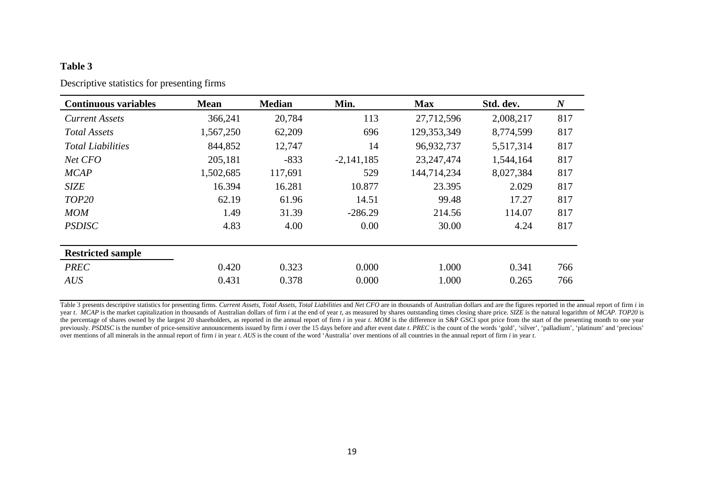| <b>Continuous variables</b> | <b>Mean</b> | <b>Median</b> | Min.         | <b>Max</b>   | Std. dev. | $\boldsymbol{N}$ |
|-----------------------------|-------------|---------------|--------------|--------------|-----------|------------------|
| <b>Current Assets</b>       | 366,241     | 20,784        | 113          | 27,712,596   | 2,008,217 | 817              |
| <i>Total Assets</i>         | 1,567,250   | 62,209        | 696          | 129,353,349  | 8,774,599 | 817              |
| <b>Total Liabilities</b>    | 844,852     | 12,747        | 14           | 96,932,737   | 5,517,314 | 817              |
| Net CFO                     | 205,181     | $-833$        | $-2,141,185$ | 23, 247, 474 | 1,544,164 | 817              |
| <b>MCAP</b>                 | 1,502,685   | 117,691       | 529          | 144,714,234  | 8,027,384 | 817              |
| <b>SIZE</b>                 | 16.394      | 16.281        | 10.877       | 23.395       | 2.029     | 817              |
| TOP <sub>20</sub>           | 62.19       | 61.96         | 14.51        | 99.48        | 17.27     | 817              |
| <b>MOM</b>                  | 1.49        | 31.39         | $-286.29$    | 214.56       | 114.07    | 817              |
| <b>PSDISC</b>               | 4.83        | 4.00          | 0.00         | 30.00        | 4.24      | 817              |
| <b>Restricted sample</b>    |             |               |              |              |           |                  |
| <b>PREC</b>                 | 0.420       | 0.323         | 0.000        | 1.000        | 0.341     | 766              |
| AUS                         | 0.431       | 0.378         | 0.000        | 1.000        | 0.265     | 766              |

Descriptive statistics for presenting firms

Table 3 presents descriptive statistics for presenting firms. Current Assets, Total Assets, Total Liabilities and Net CFO are in thousands of Australian dollars and are the figures reported in the annual report of firm i i year t. MCAP is the market capitalization in thousands of Australian dollars of firm i at the end of year t, as measured by shares outstanding times closing share price. SIZE is the natural logarithm of MCAP. TOP20 is the percentage of shares owned by the largest 20 shareholders, as reported in the annual report of firm i in year t. MOM is the difference in S&P GSCI spot price from the start of the presenting month to one year previously. PSDISC is the number of price-sensitive announcements issued by firm i over the 15 days before and after event date t. PREC is the count of the words 'gold', 'silver', 'palladium', 'platinum' and 'precious' over mentions of all minerals in the annual report of firm *i* in year *t*. *AUS* is the count of the word 'Australia' over mentions of all countries in the annual report of firm *i* in year *t*.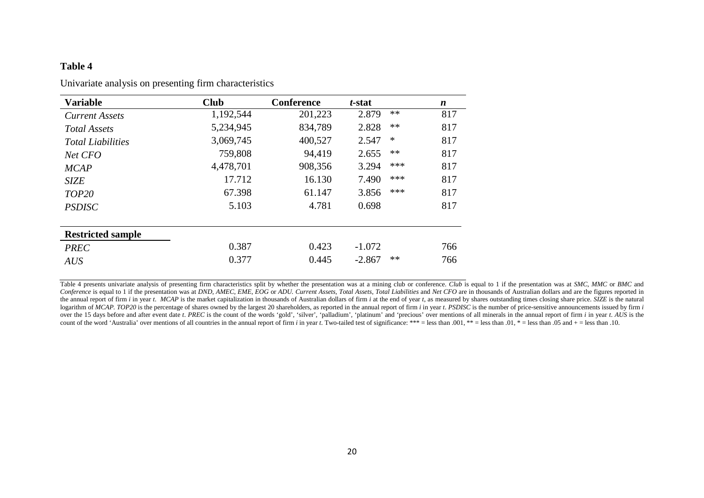Univariate analysis on presenting firm characteristics

| <b>Variable</b>          | <b>Club</b> | <b>Conference</b> | t-stat   |        | $\boldsymbol{n}$ |
|--------------------------|-------------|-------------------|----------|--------|------------------|
| <b>Current Assets</b>    | 1,192,544   | 201,223           | 2.879    | **     | 817              |
| <i>Total Assets</i>      | 5,234,945   | 834,789           | 2.828    | **     | 817              |
| <b>Total Liabilities</b> | 3,069,745   | 400,527           | 2.547    | $\ast$ | 817              |
| Net CFO                  | 759,808     | 94,419            | 2.655    | **     | 817              |
| <b>MCAP</b>              | 4,478,701   | 908,356           | 3.294    | ***    | 817              |
| <b>SIZE</b>              | 17.712      | 16.130            | 7.490    | ***    | 817              |
| TOP <sub>20</sub>        | 67.398      | 61.147            | 3.856    | ***    | 817              |
| <b>PSDISC</b>            | 5.103       | 4.781             | 0.698    |        | 817              |
| <b>Restricted sample</b> |             |                   |          |        |                  |
| <b>PREC</b>              | 0.387       | 0.423             | $-1.072$ |        | 766              |
| AUS                      | 0.377       | 0.445             | $-2.867$ | $**$   | 766              |

Table 4 presents univariate analysis of presenting firm characteristics split by whether the presentation was at a mining club or conference. Club is equal to 1 if the presentation was at SMC, MMC or BMC and Conference is equal to 1 if the presentation was at DND, AMEC, EME, EOG or ADU. Current Assets, Total Assets, Total Liabilities and Net CFO are in thousands of Australian dollars and are the figures reported in the annual report of firm *i* in year *t. MCAP* is the market capitalization in thousands of Australian dollars of firm *i* at the end of year *t*, as measured by shares outstanding times closing share price. SIZE is the n logarithm of MCAP. TOP20 is the percentage of shares owned by the largest 20 shareholders, as reported in the annual report of firm i in year t. PSDISC is the number of price-sensitive announcements issued by firm i over the 15 days before and after event date t. PREC is the count of the words 'gold', 'silver', 'palladium', 'platinum' and 'precious' over mentions of all minerals in the annual report of firm i in year t. AUS is the count of the word 'Australia' over mentions of all countries in the annual report of firm *i* in year *t*. Two-tailed test of significance: \*\*\* = less than .001, \*\* = less than .01, \* = less than .05 and + = less than .10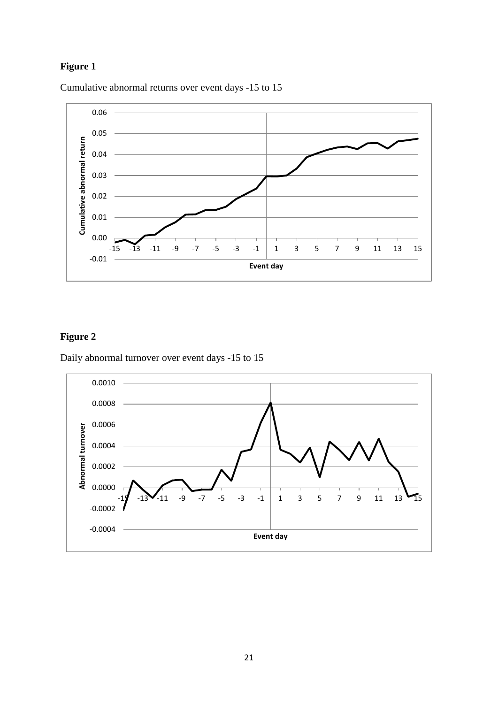# **Figure 1**



Cumulative abnormal returns over event days -15 to 15

# **Figure 2**

Daily abnormal turnover over event days -15 to 15

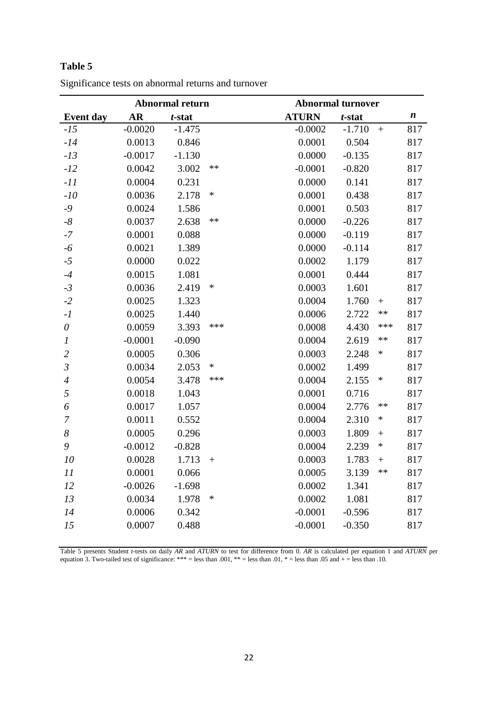| m<br>ĸ<br>H<br>и |  |
|------------------|--|
|------------------|--|

|                  |           | <b>Abnormal return</b> |        | <b>Abnormal turnover</b> |           |                  |                  |
|------------------|-----------|------------------------|--------|--------------------------|-----------|------------------|------------------|
| <b>Event day</b> | <b>AR</b> | $t$ -stat              |        | <b>ATURN</b>             | $t$ -stat |                  | $\boldsymbol{n}$ |
| $-15$            | $-0.0020$ | $-1.475$               |        | $-0.0002$                | $-1.710$  | $\boldsymbol{+}$ | 817              |
| $-14$            | 0.0013    | 0.846                  |        | 0.0001                   | 0.504     |                  | 817              |
| $-13$            | $-0.0017$ | $-1.130$               |        | 0.0000                   | $-0.135$  |                  | 817              |
| $-12$            | 0.0042    | 3.002                  | **     | $-0.0001$                | $-0.820$  |                  | 817              |
| $-11$            | 0.0004    | 0.231                  |        | 0.0000                   | 0.141     |                  | 817              |
| $-10$            | 0.0036    | 2.178                  | $\ast$ | 0.0001                   | 0.438     |                  | 817              |
| $-9$             | 0.0024    | 1.586                  |        | 0.0001                   | 0.503     |                  | 817              |
| -8               | 0.0037    | 2.638                  | **     | 0.0000                   | $-0.226$  |                  | 817              |
| $-7$             | 0.0001    | 0.088                  |        | 0.0000                   | $-0.119$  |                  | 817              |
| $-6$             | 0.0021    | 1.389                  |        | 0.0000                   | $-0.114$  |                  | 817              |
| $-5$             | 0.0000    | 0.022                  |        | 0.0002                   | 1.179     |                  | 817              |
| $-4$             | 0.0015    | 1.081                  |        | 0.0001                   | 0.444     |                  | 817              |
| $-3$             | 0.0036    | 2.419                  | $\ast$ | 0.0003                   | 1.601     |                  | 817              |
| $-2$             | 0.0025    | 1.323                  |        | 0.0004                   | 1.760     |                  | 817              |
| $-I$             | 0.0025    | 1.440                  |        | 0.0006                   | 2.722     | $\ast\ast$       | 817              |
| $\theta$         | 0.0059    | 3.393                  | ***    | 0.0008                   | 4.430     | ***              | 817              |
| $\boldsymbol{l}$ | $-0.0001$ | $-0.090$               |        | 0.0004                   | 2.619     | **               | 817              |
| $\mathfrak{2}$   | 0.0005    | 0.306                  |        | 0.0003                   | 2.248     | $\ast$           | 817              |
| $\mathfrak{Z}$   | 0.0034    | 2.053                  | $\ast$ | 0.0002                   | 1.499     |                  | 817              |
| $\overline{4}$   | 0.0054    | 3.478                  | ***    | 0.0004                   | 2.155     | $\ast$           | 817              |
| 5                | 0.0018    | 1.043                  |        | 0.0001                   | 0.716     |                  | 817              |
| 6                | 0.0017    | 1.057                  |        | 0.0004                   | 2.776     | $***$            | 817              |
| $\boldsymbol{7}$ | 0.0011    | 0.552                  |        | 0.0004                   | 2.310     | $\ast$           | 817              |
| $\boldsymbol{8}$ | 0.0005    | 0.296                  |        | 0.0003                   | 1.809     | $^{+}$           | 817              |
| 9                | $-0.0012$ | $-0.828$               |        | 0.0004                   | 2.239     | $\ast$           | 817              |
| 10               | 0.0028    | 1.713                  | $+$    | 0.0003                   | 1.783     | $^{+}$           | 817              |
| 11               | 0.0001    | 0.066                  |        | 0.0005                   | 3.139     | $\ast\ast$       | 817              |
| 12               | $-0.0026$ | $-1.698$               |        | 0.0002                   | 1.341     |                  | 817              |
| 13               | 0.0034    | 1.978                  | ∗      | 0.0002                   | 1.081     |                  | 817              |
| 14               | 0.0006    | 0.342                  |        | $-0.0001$                | $-0.596$  |                  | 817              |
| 15               | 0.0007    | 0.488                  |        | $-0.0001$                | $-0.350$  |                  | 817              |

Significance tests on abnormal returns and turnover

Table 5 presents Student *t*-tests on daily *AR* and *ATURN* to test for difference from 0. *AR* is calculated per equation 1 and *ATURN* per equation 3. Two-tailed test of significance: \*\*\* = less than .001, \*\* = less than .01, \* = less than .05 and + = less than .10.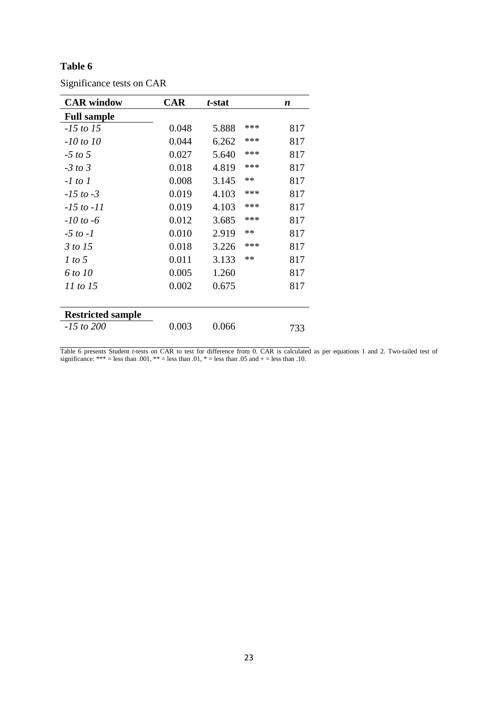| <b>CAR</b> window        | <b>CAR</b> | t-stat |     | $\boldsymbol{n}$ |
|--------------------------|------------|--------|-----|------------------|
| <b>Full sample</b>       |            |        |     |                  |
| $-15$ to 15              | 0.048      | 5.888  | *** | 817              |
| $-10$ to $10$            | 0.044      | 6.262  | *** | 817              |
| $-5$ to 5                | 0.027      | 5.640  | *** | 817              |
| $-3$ to 3                | 0.018      | 4.819  | *** | 817              |
| $-I$ to $I$              | 0.008      | 3.145  | **  | 817              |
| $-15$ to $-3$            | 0.019      | 4.103  | *** | 817              |
| $-15$ to $-11$           | 0.019      | 4.103  | *** | 817              |
| $-10$ to $-6$            | 0.012      | 3.685  | *** | 817              |
| $-5$ to $-1$             | 0.010      | 2.919  | **  | 817              |
| 3 to 15                  | 0.018      | 3.226  | *** | 817              |
| 1 to 5                   | 0.011      | 3.133  | **  | 817              |
| 6 to 10                  | 0.005      | 1.260  |     | 817              |
| 11 to 15                 | 0.002      | 0.675  |     | 817              |
|                          |            |        |     |                  |
| <b>Restricted sample</b> |            |        |     |                  |
| $-15$ to 200             | 0.003      | 0.066  |     | 733              |

Significance tests on CAR

Table 6 presents Student *t*-tests on CAR to test for difference from 0. CAR is calculated as per equations 1 and 2. Two-tailed test of significance: \*\*\* = less than .001, \*\* = less than .01, \* = less than .05 and + = less than .10.